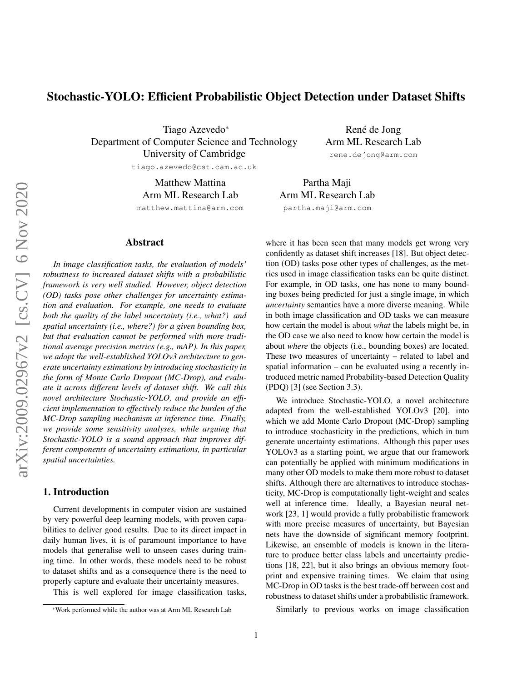# Stochastic-YOLO: Efficient Probabilistic Object Detection under Dataset Shifts

Tiago Azevedo\* Department of Computer Science and Technology University of Cambridge

tiago.azevedo@cst.cam.ac.uk

Matthew Mattina Arm ML Research Lab

matthew.mattina@arm.com

## Abstract

*In image classification tasks, the evaluation of models' robustness to increased dataset shifts with a probabilistic framework is very well studied. However, object detection (OD) tasks pose other challenges for uncertainty estimation and evaluation. For example, one needs to evaluate both the quality of the label uncertainty (i.e., what?) and spatial uncertainty (i.e., where?) for a given bounding box, but that evaluation cannot be performed with more traditional average precision metrics (e.g., mAP). In this paper, we adapt the well-established YOLOv3 architecture to generate uncertainty estimations by introducing stochasticity in the form of Monte Carlo Dropout (MC-Drop), and evaluate it across different levels of dataset shift. We call this novel architecture Stochastic-YOLO, and provide an efficient implementation to effectively reduce the burden of the MC-Drop sampling mechanism at inference time. Finally, we provide some sensitivity analyses, while arguing that Stochastic-YOLO is a sound approach that improves different components of uncertainty estimations, in particular spatial uncertainties.*

## 1. Introduction

Current developments in computer vision are sustained by very powerful deep learning models, with proven capabilities to deliver good results. Due to its direct impact in daily human lives, it is of paramount importance to have models that generalise well to unseen cases during training time. In other words, these models need to be robust to dataset shifts and as a consequence there is the need to properly capture and evaluate their uncertainty measures.

This is well explored for image classification tasks,

René de Jong Arm ML Research Lab rene.dejong@arm.com

Partha Maji Arm ML Research Lab

partha.maji@arm.com

where it has been seen that many models get wrong very confidently as dataset shift increases [18]. But object detection (OD) tasks pose other types of challenges, as the metrics used in image classification tasks can be quite distinct. For example, in OD tasks, one has none to many bounding boxes being predicted for just a single image, in which *uncertainty* semantics have a more diverse meaning. While in both image classification and OD tasks we can measure how certain the model is about *what* the labels might be, in the OD case we also need to know how certain the model is about *where* the objects (i.e., bounding boxes) are located. These two measures of uncertainty – related to label and spatial information – can be evaluated using a recently introduced metric named Probability-based Detection Quality (PDQ) [3] (see Section 3.3).

We introduce Stochastic-YOLO, a novel architecture adapted from the well-established YOLOv3 [20], into which we add Monte Carlo Dropout (MC-Drop) sampling to introduce stochasticity in the predictions, which in turn generate uncertainty estimations. Although this paper uses YOLOv3 as a starting point, we argue that our framework can potentially be applied with minimum modifications in many other OD models to make them more robust to dataset shifts. Although there are alternatives to introduce stochasticity, MC-Drop is computationally light-weight and scales well at inference time. Ideally, a Bayesian neural network [23, 1] would provide a fully probabilistic framework with more precise measures of uncertainty, but Bayesian nets have the downside of significant memory footprint. Likewise, an ensemble of models is known in the literature to produce better class labels and uncertainty predictions [18, 22], but it also brings an obvious memory footprint and expensive training times. We claim that using MC-Drop in OD tasks is the best trade-off between cost and robustness to dataset shifts under a probabilistic framework.

Similarly to previous works on image classification

<sup>\*</sup>Work performed while the author was at Arm ML Research Lab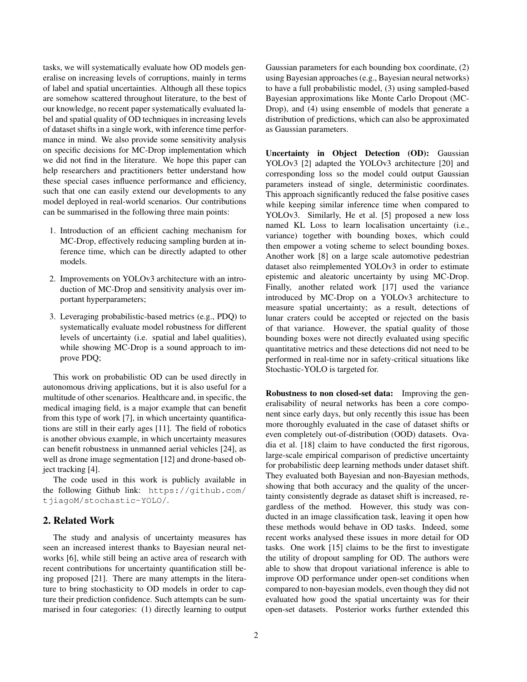tasks, we will systematically evaluate how OD models generalise on increasing levels of corruptions, mainly in terms of label and spatial uncertainties. Although all these topics are somehow scattered throughout literature, to the best of our knowledge, no recent paper systematically evaluated label and spatial quality of OD techniques in increasing levels of dataset shifts in a single work, with inference time performance in mind. We also provide some sensitivity analysis on specific decisions for MC-Drop implementation which we did not find in the literature. We hope this paper can help researchers and practitioners better understand how these special cases influence performance and efficiency, such that one can easily extend our developments to any model deployed in real-world scenarios. Our contributions can be summarised in the following three main points:

- 1. Introduction of an efficient caching mechanism for MC-Drop, effectively reducing sampling burden at inference time, which can be directly adapted to other models.
- 2. Improvements on YOLOv3 architecture with an introduction of MC-Drop and sensitivity analysis over important hyperparameters;
- 3. Leveraging probabilistic-based metrics (e.g., PDQ) to systematically evaluate model robustness for different levels of uncertainty (i.e. spatial and label qualities), while showing MC-Drop is a sound approach to improve PDQ;

This work on probabilistic OD can be used directly in autonomous driving applications, but it is also useful for a multitude of other scenarios. Healthcare and, in specific, the medical imaging field, is a major example that can benefit from this type of work [7], in which uncertainty quantifications are still in their early ages [11]. The field of robotics is another obvious example, in which uncertainty measures can benefit robustness in unmanned aerial vehicles [24], as well as drone image segmentation [12] and drone-based object tracking [4].

The code used in this work is publicly available in the following Github link: https://github.com/ tjiagoM/stochastic-YOLO/.

## 2. Related Work

The study and analysis of uncertainty measures has seen an increased interest thanks to Bayesian neural networks [6], while still being an active area of research with recent contributions for uncertainty quantification still being proposed [21]. There are many attempts in the literature to bring stochasticity to OD models in order to capture their prediction confidence. Such attempts can be summarised in four categories: (1) directly learning to output

Gaussian parameters for each bounding box coordinate, (2) using Bayesian approaches (e.g., Bayesian neural networks) to have a full probabilistic model, (3) using sampled-based Bayesian approximations like Monte Carlo Dropout (MC-Drop), and (4) using ensemble of models that generate a distribution of predictions, which can also be approximated as Gaussian parameters.

Uncertainty in Object Detection (OD): Gaussian YOLOv3 [2] adapted the YOLOv3 architecture [20] and corresponding loss so the model could output Gaussian parameters instead of single, deterministic coordinates. This approach significantly reduced the false positive cases while keeping similar inference time when compared to YOLOv3. Similarly, He et al. [5] proposed a new loss named KL Loss to learn localisation uncertainty (i.e., variance) together with bounding boxes, which could then empower a voting scheme to select bounding boxes. Another work [8] on a large scale automotive pedestrian dataset also reimplemented YOLOv3 in order to estimate epistemic and aleatoric uncertainty by using MC-Drop. Finally, another related work [17] used the variance introduced by MC-Drop on a YOLOv3 architecture to measure spatial uncertainty; as a result, detections of lunar craters could be accepted or rejected on the basis of that variance. However, the spatial quality of those bounding boxes were not directly evaluated using specific quantitative metrics and these detections did not need to be performed in real-time nor in safety-critical situations like Stochastic-YOLO is targeted for.

Robustness to non closed-set data: Improving the generalisability of neural networks has been a core component since early days, but only recently this issue has been more thoroughly evaluated in the case of dataset shifts or even completely out-of-distribution (OOD) datasets. Ovadia et al. [18] claim to have conducted the first rigorous, large-scale empirical comparison of predictive uncertainty for probabilistic deep learning methods under dataset shift. They evaluated both Bayesian and non-Bayesian methods, showing that both accuracy and the quality of the uncertainty consistently degrade as dataset shift is increased, regardless of the method. However, this study was conducted in an image classification task, leaving it open how these methods would behave in OD tasks. Indeed, some recent works analysed these issues in more detail for OD tasks. One work [15] claims to be the first to investigate the utility of dropout sampling for OD. The authors were able to show that dropout variational inference is able to improve OD performance under open-set conditions when compared to non-bayesian models, even though they did not evaluated how good the spatial uncertainty was for their open-set datasets. Posterior works further extended this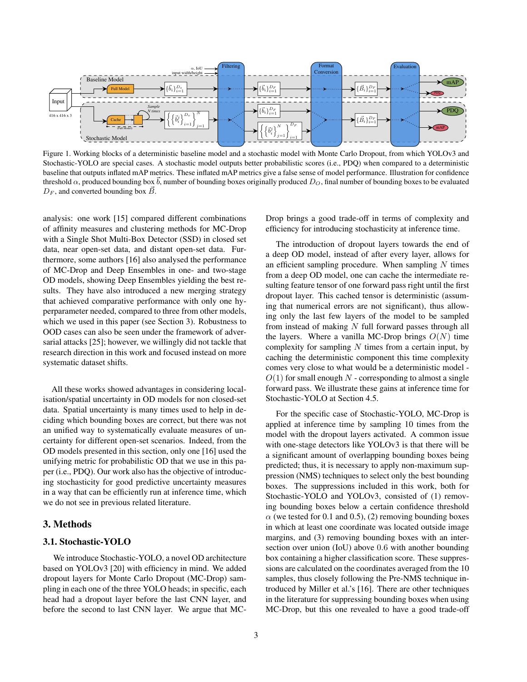

Figure 1. Working blocks of a deterministic baseline model and a stochastic model with Monte Carlo Dropout, from which YOLOv3 and Stochastic-YOLO are special cases. A stochastic model outputs better probabilistic scores (i.e., PDQ) when compared to a deterministic baseline that outputs inflated mAP metrics. These inflated mAP metrics give a false sense of model performance. Illustration for confidence threshold  $\alpha$ , produced bounding box b, number of bounding boxes originally produced  $D<sub>O</sub>$ , final number of bounding boxes to be evaluated  $D_F$ , and converted bounding box  $\vec{B}$ .

analysis: one work [15] compared different combinations of affinity measures and clustering methods for MC-Drop with a Single Shot Multi-Box Detector (SSD) in closed set data, near open-set data, and distant open-set data. Furthermore, some authors [16] also analysed the performance of MC-Drop and Deep Ensembles in one- and two-stage OD models, showing Deep Ensembles yielding the best results. They have also introduced a new merging strategy that achieved comparative performance with only one hyperparameter needed, compared to three from other models, which we used in this paper (see Section 3). Robustness to OOD cases can also be seen under the framework of adversarial attacks [25]; however, we willingly did not tackle that research direction in this work and focused instead on more systematic dataset shifts.

All these works showed advantages in considering localisation/spatial uncertainty in OD models for non closed-set data. Spatial uncertainty is many times used to help in deciding which bounding boxes are correct, but there was not an unified way to systematically evaluate measures of uncertainty for different open-set scenarios. Indeed, from the OD models presented in this section, only one [16] used the unifying metric for probabilistic OD that we use in this paper (i.e., PDQ). Our work also has the objective of introducing stochasticity for good predictive uncertainty measures in a way that can be efficiently run at inference time, which we do not see in previous related literature.

## 3. Methods

## 3.1. Stochastic-YOLO

We introduce Stochastic-YOLO, a novel OD architecture based on YOLOv3 [20] with efficiency in mind. We added dropout layers for Monte Carlo Dropout (MC-Drop) sampling in each one of the three YOLO heads; in specific, each head had a dropout layer before the last CNN layer, and before the second to last CNN layer. We argue that MC-

Drop brings a good trade-off in terms of complexity and efficiency for introducing stochasticity at inference time.

The introduction of dropout layers towards the end of a deep OD model, instead of after every layer, allows for an efficient sampling procedure. When sampling  $N$  times from a deep OD model, one can cache the intermediate resulting feature tensor of one forward pass right until the first dropout layer. This cached tensor is deterministic (assuming that numerical errors are not significant), thus allowing only the last few layers of the model to be sampled from instead of making  $N$  full forward passes through all the layers. Where a vanilla MC-Drop brings  $O(N)$  time complexity for sampling  $N$  times from a certain input, by caching the deterministic component this time complexity comes very close to what would be a deterministic model -  $O(1)$  for small enough N - corresponding to almost a single forward pass. We illustrate these gains at inference time for Stochastic-YOLO at Section 4.5.

For the specific case of Stochastic-YOLO, MC-Drop is applied at inference time by sampling 10 times from the model with the dropout layers activated. A common issue with one-stage detectors like YOLOv3 is that there will be a significant amount of overlapping bounding boxes being predicted; thus, it is necessary to apply non-maximum suppression (NMS) techniques to select only the best bounding boxes. The suppressions included in this work, both for Stochastic-YOLO and YOLOv3, consisted of (1) removing bounding boxes below a certain confidence threshold  $\alpha$  (we tested for 0.1 and 0.5), (2) removing bounding boxes in which at least one coordinate was located outside image margins, and (3) removing bounding boxes with an intersection over union (IoU) above 0.6 with another bounding box containing a higher classification score. These suppressions are calculated on the coordinates averaged from the 10 samples, thus closely following the Pre-NMS technique introduced by Miller et al.'s [16]. There are other techniques in the literature for suppressing bounding boxes when using MC-Drop, but this one revealed to have a good trade-off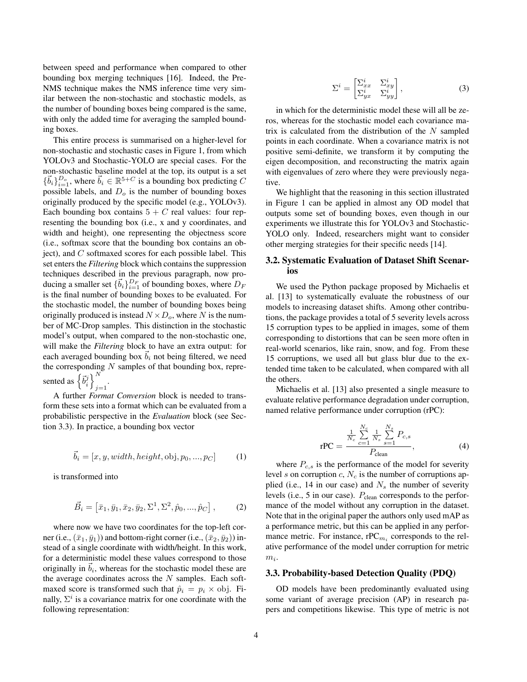between speed and performance when compared to other bounding box merging techniques [16]. Indeed, the Pre-NMS technique makes the NMS inference time very similar between the non-stochastic and stochastic models, as the number of bounding boxes being compared is the same, with only the added time for averaging the sampled bounding boxes.

This entire process is summarised on a higher-level for non-stochastic and stochastic cases in Figure 1, from which YOLOv3 and Stochastic-YOLO are special cases. For the non-stochastic baseline model at the top, its output is a set  ${\{\vec{b}_i\}}_{i=1}^{D_o}$ , where  $\vec{b}_i \in \mathbb{R}^{5+C}$  is a bounding box predicting C possible labels, and  $D<sub>o</sub>$  is the number of bounding boxes originally produced by the specific model (e.g., YOLOv3). Each bounding box contains  $5 + C$  real values: four representing the bounding box (i.e., x and y coordinates, and width and height), one representing the objectness score (i.e., softmax score that the bounding box contains an object), and C softmaxed scores for each possible label. This set enters the *Filtering* block which contains the suppression techniques described in the previous paragraph, now producing a smaller set  $\{\vec{b}_i\}_{i=1}^{D_F}$  of bounding boxes, where  $D_F$ is the final number of bounding boxes to be evaluated. For the stochastic model, the number of bounding boxes being originally produced is instead  $N \times D<sub>o</sub>$ , where N is the number of MC-Drop samples. This distinction in the stochastic model's output, when compared to the non-stochastic one, will make the *Filtering* block to have an extra output: for each averaged bounding box  $b_i$  not being filtered, we need the corresponding  $N$  samples of that bounding box, represented as  $\left\{ \vec{b}_i^j \right\}_{i=1}^N$  $_{j=1}$ .

A further *Format Conversion* block is needed to transform these sets into a format which can be evaluated from a probabilistic perspective in the *Evaluation* block (see Section 3.3). In practice, a bounding box vector

$$
\vec{b}_i = [x, y, width, height, obj, p_0, ..., p_C]
$$
 (1)

is transformed into

$$
\vec{B}_i = \left[ \bar{x}_1, \bar{y}_1, \bar{x}_2, \bar{y}_2, \Sigma^1, \Sigma^2, \hat{p}_0, ..., \hat{p}_C \right],\tag{2}
$$

where now we have two coordinates for the top-left corner (i.e.,  $(\bar{x}_1, \bar{y}_1)$ ) and bottom-right corner (i.e.,  $(\bar{x}_2, \bar{y}_2)$ ) instead of a single coordinate with width/height. In this work, for a deterministic model these values correspond to those originally in  $\vec{b}_i$ , whereas for the stochastic model these are the average coordinates across the  $N$  samples. Each softmaxed score is transformed such that  $\hat{p}_i = p_i \times \text{obj}$ . Finally,  $\Sigma^i$  is a covariance matrix for one coordinate with the following representation:

$$
\Sigma^i = \begin{bmatrix} \Sigma^i_{xx} & \Sigma^i_{xy} \\ \Sigma^i_{yx} & \Sigma^i_{yy} \end{bmatrix},
$$
\n(3)

in which for the deterministic model these will all be zeros, whereas for the stochastic model each covariance matrix is calculated from the distribution of the  $N$  sampled points in each coordinate. When a covariance matrix is not positive semi-definite, we transform it by computing the eigen decomposition, and reconstructing the matrix again with eigenvalues of zero where they were previously negative.

We highlight that the reasoning in this section illustrated in Figure 1 can be applied in almost any OD model that outputs some set of bounding boxes, even though in our experiments we illustrate this for YOLOv3 and Stochastic-YOLO only. Indeed, researchers might want to consider other merging strategies for their specific needs [14].

## 3.2. Systematic Evaluation of Dataset Shift Scenarios

We used the Python package proposed by Michaelis et al. [13] to systematically evaluate the robustness of our models to increasing dataset shifts. Among other contributions, the package provides a total of 5 severity levels across 15 corruption types to be applied in images, some of them corresponding to distortions that can be seen more often in real-world scenarios, like rain, snow, and fog. From these 15 corruptions, we used all but glass blur due to the extended time taken to be calculated, when compared with all the others.

Michaelis et al. [13] also presented a single measure to evaluate relative performance degradation under corruption, named relative performance under corruption (rPC):

$$
rPC = \frac{\frac{1}{N_c} \sum_{c=1}^{N_c} \frac{1}{N_s} \sum_{s=1}^{N_s} P_{c,s}}{P_{\text{clean}}},
$$
 (4)

where  $P_{c,s}$  is the performance of the model for severity level s on corruption c,  $N_c$  is the number of corruptions applied (i.e., 14 in our case) and  $N<sub>s</sub>$  the number of severity levels (i.e., 5 in our case).  $P_{clean}$  corresponds to the performance of the model without any corruption in the dataset. Note that in the original paper the authors only used mAP as a performance metric, but this can be applied in any performance metric. For instance, rPC $_{m_i}$  corresponds to the relative performance of the model under corruption for metric  $m_i$ .

## 3.3. Probability-based Detection Quality (PDQ)

OD models have been predominantly evaluated using some variant of average precision (AP) in research papers and competitions likewise. This type of metric is not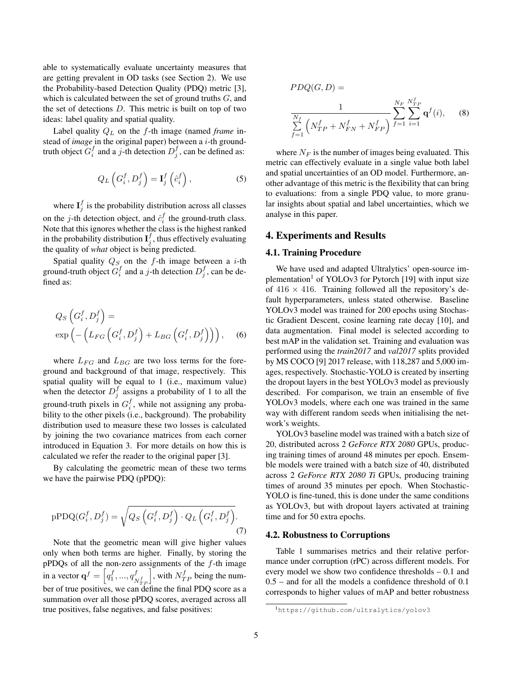able to systematically evaluate uncertainty measures that are getting prevalent in OD tasks (see Section 2). We use the Probability-based Detection Quality (PDQ) metric [3], which is calculated between the set of ground truths  $G$ , and the set of detections D. This metric is built on top of two ideas: label quality and spatial quality.

Label quality  $Q_L$  on the f-th image (named *frame* instead of *image* in the original paper) between a *i*-th groundtruth object  $G_i^f$  and a *j*-th detection  $D_j^f$ , can be defined as:

$$
Q_L\left(G_i^f, D_j^f\right) = \mathbf{I}_j^f\left(\hat{c}_i^f\right),\tag{5}
$$

where  $I_j^f$  is the probability distribution across all classes on the *j*-th detection object, and  $\hat{c}_i^f$  the ground-truth class. Note that this ignores whether the class is the highest ranked in the probability distribution  $I_j^f$ , thus effectively evaluating the quality of *what* object is being predicted.

Spatial quality  $Q_{S_2}$  on the f-th image between a *i*-th ground-truth object  $G_i^f$  and a j-th detection  $D_j^f$ , can be defined as:

$$
Q_S \left( G_i^f, D_j^f \right) =
$$
  
exp $\left( -\left( L_{FG} \left( G_i^f, D_j^f \right) + L_{BG} \left( G_i^f, D_j^f \right) \right) \right),$  (6)

where  $L_{FG}$  and  $L_{BG}$  are two loss terms for the foreground and background of that image, respectively. This spatial quality will be equal to 1 (i.e., maximum value) when the detector  $D_j^f$  assigns a probability of 1 to all the ground-truth pixels in  $G_i^f$ , while not assigning any probability to the other pixels (i.e., background). The probability distribution used to measure these two losses is calculated by joining the two covariance matrices from each corner introduced in Equation 3. For more details on how this is calculated we refer the reader to the original paper [3].

By calculating the geometric mean of these two terms we have the pairwise PDQ (pPDQ):

$$
pPDQ(G_i^f, D_j^f) = \sqrt{Q_S\left(G_i^f, D_j^f\right) \cdot Q_L\left(G_i^f, D_j^f\right)}.\tag{7}
$$

Note that the geometric mean will give higher values only when both terms are higher. Finally, by storing the pPDQs of all the non-zero assignments of the  $f$ -th image in a vector  $\mathbf{q}^f = \begin{bmatrix} q_1^f, ..., q_N^f \end{bmatrix}$  $N_{TF}^f$ with  $N_{TP}^f$  being the number of true positives, we can define the final PDQ score as a summation over all those pPDQ scores, averaged across all true positives, false negatives, and false positives:

$$
PDQ(G, D) = \frac{1}{\sum_{f=1}^{N_f} \left( N_{TP}^f + N_{FN}^f + N_{FP}^f \right)} \sum_{f=1}^{N_F} \sum_{i=1}^{N_{TP}^f} \mathbf{q}^f(i), \quad (8)
$$

where  $N_F$  is the number of images being evaluated. This metric can effectively evaluate in a single value both label and spatial uncertainties of an OD model. Furthermore, another advantage of this metric is the flexibility that can bring to evaluations: from a single PDQ value, to more granular insights about spatial and label uncertainties, which we analyse in this paper.

## 4. Experiments and Results

#### 4.1. Training Procedure

We have used and adapted Ultralytics' open-source implementation<sup>1</sup> of YOLOv3 for Pytorch [19] with input size of  $416 \times 416$ . Training followed all the repository's default hyperparameters, unless stated otherwise. Baseline YOLOv3 model was trained for 200 epochs using Stochastic Gradient Descent, cosine learning rate decay [10], and data augmentation. Final model is selected according to best mAP in the validation set. Training and evaluation was performed using the *train2017* and *val2017* splits provided by MS COCO [9] 2017 release, with 118,287 and 5,000 images, respectively. Stochastic-YOLO is created by inserting the dropout layers in the best YOLOv3 model as previously described. For comparison, we train an ensemble of five YOLOv3 models, where each one was trained in the same way with different random seeds when initialising the network's weights.

YOLOv3 baseline model was trained with a batch size of 20, distributed across 2 *GeForce RTX 2080* GPUs, producing training times of around 48 minutes per epoch. Ensemble models were trained with a batch size of 40, distributed across 2 *GeForce RTX 2080 Ti* GPUs, producing training times of around 35 minutes per epoch. When Stochastic-YOLO is fine-tuned, this is done under the same conditions as YOLOv3, but with dropout layers activated at training time and for 50 extra epochs.

## 4.2. Robustness to Corruptions

Table 1 summarises metrics and their relative performance under corruption (rPC) across different models. For every model we show two confidence thresholds – 0.1 and 0.5 – and for all the models a confidence threshold of 0.1 corresponds to higher values of mAP and better robustness

<sup>1</sup>https://github.com/ultralytics/yolov3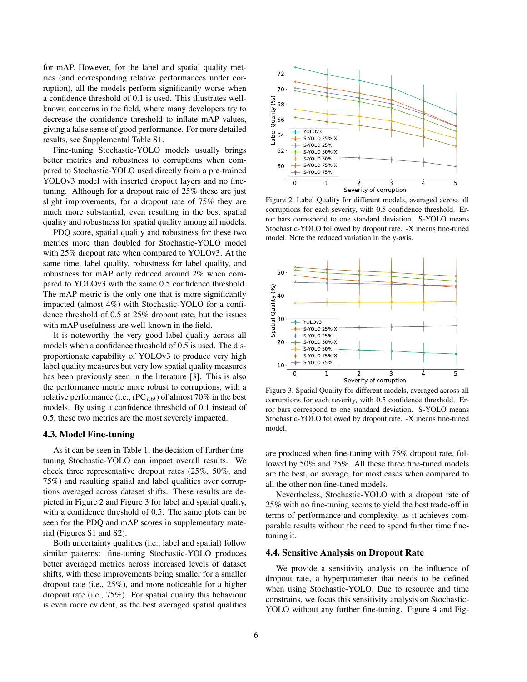for mAP. However, for the label and spatial quality metrics (and corresponding relative performances under corruption), all the models perform significantly worse when a confidence threshold of 0.1 is used. This illustrates wellknown concerns in the field, where many developers try to decrease the confidence threshold to inflate mAP values, giving a false sense of good performance. For more detailed results, see Supplemental Table S1.

Fine-tuning Stochastic-YOLO models usually brings better metrics and robustness to corruptions when compared to Stochastic-YOLO used directly from a pre-trained YOLOv3 model with inserted dropout layers and no finetuning. Although for a dropout rate of 25% these are just slight improvements, for a dropout rate of 75% they are much more substantial, even resulting in the best spatial quality and robustness for spatial quality among all models.

PDQ score, spatial quality and robustness for these two metrics more than doubled for Stochastic-YOLO model with 25% dropout rate when compared to YOLOv3. At the same time, label quality, robustness for label quality, and robustness for mAP only reduced around 2% when compared to YOLOv3 with the same 0.5 confidence threshold. The mAP metric is the only one that is more significantly impacted (almost 4%) with Stochastic-YOLO for a confidence threshold of 0.5 at 25% dropout rate, but the issues with mAP usefulness are well-known in the field.

It is noteworthy the very good label quality across all models when a confidence threshold of 0.5 is used. The disproportionate capability of YOLOv3 to produce very high label quality measures but very low spatial quality measures has been previously seen in the literature [3]. This is also the performance metric more robust to corruptions, with a relative performance (i.e.,  $rPC_{Lbl}$ ) of almost 70% in the best models. By using a confidence threshold of 0.1 instead of 0.5, these two metrics are the most severely impacted.

## 4.3. Model Fine-tuning

As it can be seen in Table 1, the decision of further finetuning Stochastic-YOLO can impact overall results. We check three representative dropout rates (25%, 50%, and 75%) and resulting spatial and label qualities over corruptions averaged across dataset shifts. These results are depicted in Figure 2 and Figure 3 for label and spatial quality, with a confidence threshold of 0.5. The same plots can be seen for the PDQ and mAP scores in supplementary material (Figures S1 and S2).

Both uncertainty qualities (i.e., label and spatial) follow similar patterns: fine-tuning Stochastic-YOLO produces better averaged metrics across increased levels of dataset shifts, with these improvements being smaller for a smaller dropout rate (i.e., 25%), and more noticeable for a higher dropout rate (i.e., 75%). For spatial quality this behaviour is even more evident, as the best averaged spatial qualities



Figure 2. Label Quality for different models, averaged across all corruptions for each severity, with 0.5 confidence threshold. Error bars correspond to one standard deviation. S-YOLO means Stochastic-YOLO followed by dropout rate. -X means fine-tuned model. Note the reduced variation in the y-axis.



Figure 3. Spatial Quality for different models, averaged across all corruptions for each severity, with 0.5 confidence threshold. Error bars correspond to one standard deviation. S-YOLO means Stochastic-YOLO followed by dropout rate. -X means fine-tuned model.

are produced when fine-tuning with 75% dropout rate, followed by 50% and 25%. All these three fine-tuned models are the best, on average, for most cases when compared to all the other non fine-tuned models.

Nevertheless, Stochastic-YOLO with a dropout rate of 25% with no fine-tuning seems to yield the best trade-off in terms of performance and complexity, as it achieves comparable results without the need to spend further time finetuning it.

#### 4.4. Sensitive Analysis on Dropout Rate

We provide a sensitivity analysis on the influence of dropout rate, a hyperparameter that needs to be defined when using Stochastic-YOLO. Due to resource and time constrains, we focus this sensitivity analysis on Stochastic-YOLO without any further fine-tuning. Figure 4 and Fig-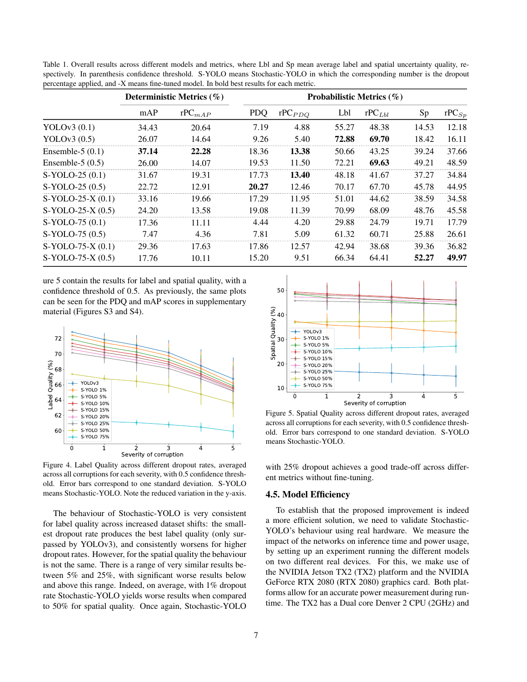Table 1. Overall results across different models and metrics, where Lbl and Sp mean average label and spatial uncertainty quality, respectively. In parenthesis confidence threshold. S-YOLO means Stochastic-YOLO in which the corresponding number is the dropout percentage applied, and -X means fine-tuned model. In bold best results for each metric.

|                     | Deterministic Metrics (%) |             |            | Probabilistic Metrics (%) |       |             |       |             |  |
|---------------------|---------------------------|-------------|------------|---------------------------|-------|-------------|-------|-------------|--|
|                     | mAP                       | $rPC_{mAP}$ | <b>PDQ</b> | $rPC_{PDQ}$               | Lbl   | $rPC_{Lbl}$ | Sp    | r $PC_{Sp}$ |  |
| YOLOv $3(0.1)$      | 34.43                     | 20.64       | 7.19       | 4.88                      | 55.27 | 48.38       | 14.53 | 12.18       |  |
| YOLOv $3(0.5)$      | 26.07                     | 14.64       | 9.26       | 5.40                      | 72.88 | 69.70       | 18.42 | 16.11       |  |
| Ensemble-5 $(0.1)$  | 37.14                     | 22.28       | 18.36      | 13.38                     | 50.66 | 43.25       | 39.24 | 37.66       |  |
| Ensemble-5 $(0.5)$  | 26.00                     | 14.07       | 19.53      | 11.50                     | 72.21 | 69.63       | 49.21 | 48.59       |  |
| $S-YOLO-25(0.1)$    | 31.67                     | 19.31       | 17.73      | 13.40                     | 48.18 | 41.67       | 37.27 | 34.84       |  |
| $S-YOLO-25(0.5)$    | 22.72                     | 12.91       | 20.27      | 12.46                     | 70.17 | 67.70       | 45.78 | 44.95       |  |
| S-YOLO-25-X (0.1)   | 33.16                     | 19.66       | 17.29      | 11.95                     | 51.01 | 44.62       | 38.59 | 34.58       |  |
| $S- YOLO-25-X(0.5)$ | 24.20                     | 13.58       | 19.08      | 11.39                     | 70.99 | 68.09       | 48.76 | 45.58       |  |
| S-YOLO-75 (0.1)     | 17.36                     | 11.11       | 4.44       | 4.20                      | 29.88 | 24.79       | 19.71 | 17.79       |  |
| S-YOLO-75 (0.5)     | 7.47                      | 4.36        | 7.81       | 5.09                      | 61.32 | 60.71       | 25.88 | 26.61       |  |
| $S-YOLO-75-X(0.1)$  | 29.36                     | 17.63       | 17.86      | 12.57                     | 42.94 | 38.68       | 39.36 | 36.82       |  |
| $S-YOLO-75-X(0.5)$  | 17.76                     | 10.11       | 15.20      | 9.51                      | 66.34 | 64.41       | 52.27 | 49.97       |  |

ure 5 contain the results for label and spatial quality, with a confidence threshold of 0.5. As previously, the same plots can be seen for the PDQ and mAP scores in supplementary material (Figures S3 and S4).



Figure 4. Label Quality across different dropout rates, averaged across all corruptions for each severity, with 0.5 confidence threshold. Error bars correspond to one standard deviation. S-YOLO means Stochastic-YOLO. Note the reduced variation in the y-axis.

The behaviour of Stochastic-YOLO is very consistent for label quality across increased dataset shifts: the smallest dropout rate produces the best label quality (only surpassed by YOLOv3), and consistently worsens for higher dropout rates. However, for the spatial quality the behaviour is not the same. There is a range of very similar results between 5% and 25%, with significant worse results below and above this range. Indeed, on average, with 1% dropout rate Stochastic-YOLO yields worse results when compared to 50% for spatial quality. Once again, Stochastic-YOLO



Figure 5. Spatial Quality across different dropout rates, averaged across all corruptions for each severity, with 0.5 confidence threshold. Error bars correspond to one standard deviation. S-YOLO means Stochastic-YOLO.

with 25% dropout achieves a good trade-off across different metrics without fine-tuning.

#### 4.5. Model Efficiency

To establish that the proposed improvement is indeed a more efficient solution, we need to validate Stochastic-YOLO's behaviour using real hardware. We measure the impact of the networks on inference time and power usage, by setting up an experiment running the different models on two different real devices. For this, we make use of the NVIDIA Jetson TX2 (TX2) platform and the NVIDIA GeForce RTX 2080 (RTX 2080) graphics card. Both platforms allow for an accurate power measurement during runtime. The TX2 has a Dual core Denver 2 CPU (2GHz) and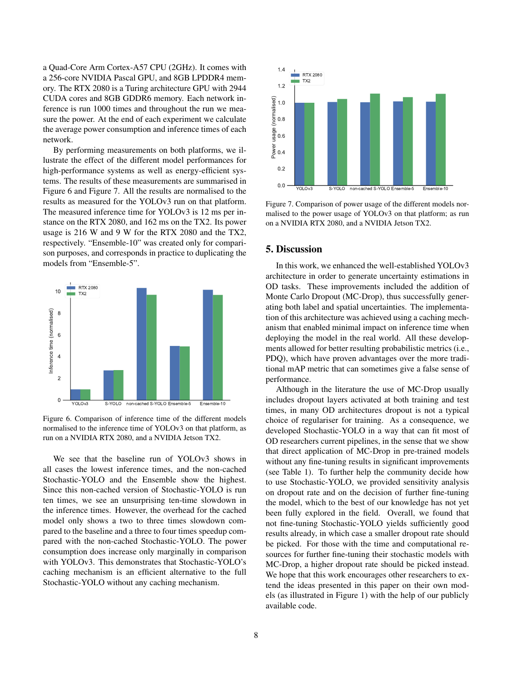a Quad-Core Arm Cortex-A57 CPU (2GHz). It comes with a 256-core NVIDIA Pascal GPU, and 8GB LPDDR4 memory. The RTX 2080 is a Turing architecture GPU with 2944 CUDA cores and 8GB GDDR6 memory. Each network inference is run 1000 times and throughout the run we measure the power. At the end of each experiment we calculate the average power consumption and inference times of each network.

By performing measurements on both platforms, we illustrate the effect of the different model performances for high-performance systems as well as energy-efficient systems. The results of these measurements are summarised in Figure 6 and Figure 7. All the results are normalised to the results as measured for the YOLOv3 run on that platform. The measured inference time for YOLOv3 is 12 ms per instance on the RTX 2080, and 162 ms on the TX2. Its power usage is 216 W and 9 W for the RTX 2080 and the TX2, respectively. "Ensemble-10" was created only for comparison purposes, and corresponds in practice to duplicating the models from "Ensemble-5".



Figure 6. Comparison of inference time of the different models normalised to the inference time of YOLOv3 on that platform, as run on a NVIDIA RTX 2080, and a NVIDIA Jetson TX2.

We see that the baseline run of YOLOv3 shows in all cases the lowest inference times, and the non-cached Stochastic-YOLO and the Ensemble show the highest. Since this non-cached version of Stochastic-YOLO is run ten times, we see an unsurprising ten-time slowdown in the inference times. However, the overhead for the cached model only shows a two to three times slowdown compared to the baseline and a three to four times speedup compared with the non-cached Stochastic-YOLO. The power consumption does increase only marginally in comparison with YOLOv3. This demonstrates that Stochastic-YOLO's caching mechanism is an efficient alternative to the full Stochastic-YOLO without any caching mechanism.



Figure 7. Comparison of power usage of the different models normalised to the power usage of YOLOv3 on that platform; as run on a NVIDIA RTX 2080, and a NVIDIA Jetson TX2.

#### 5. Discussion

In this work, we enhanced the well-established YOLOv3 architecture in order to generate uncertainty estimations in OD tasks. These improvements included the addition of Monte Carlo Dropout (MC-Drop), thus successfully generating both label and spatial uncertainties. The implementation of this architecture was achieved using a caching mechanism that enabled minimal impact on inference time when deploying the model in the real world. All these developments allowed for better resulting probabilistic metrics (i.e., PDQ), which have proven advantages over the more traditional mAP metric that can sometimes give a false sense of performance.

Although in the literature the use of MC-Drop usually includes dropout layers activated at both training and test times, in many OD architectures dropout is not a typical choice of regulariser for training. As a consequence, we developed Stochastic-YOLO in a way that can fit most of OD researchers current pipelines, in the sense that we show that direct application of MC-Drop in pre-trained models without any fine-tuning results in significant improvements (see Table 1). To further help the community decide how to use Stochastic-YOLO, we provided sensitivity analysis on dropout rate and on the decision of further fine-tuning the model, which to the best of our knowledge has not yet been fully explored in the field. Overall, we found that not fine-tuning Stochastic-YOLO yields sufficiently good results already, in which case a smaller dropout rate should be picked. For those with the time and computational resources for further fine-tuning their stochastic models with MC-Drop, a higher dropout rate should be picked instead. We hope that this work encourages other researchers to extend the ideas presented in this paper on their own models (as illustrated in Figure 1) with the help of our publicly available code.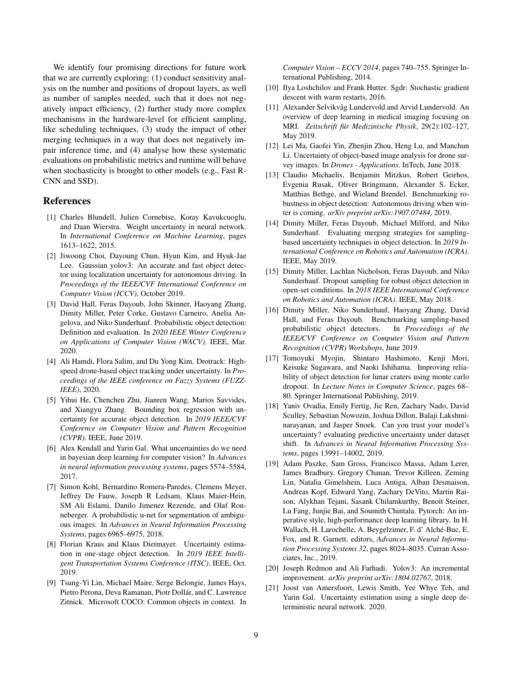We identify four promising directions for future work that we are currently exploring: (1) conduct sensitivity analysis on the number and positions of dropout layers, as well as number of samples needed, such that it does not negatively impact efficiency, (2) further study more complex mechanisms in the hardware-level for efficient sampling, like scheduling techniques, (3) study the impact of other merging techniques in a way that does not negatively impair inference time, and (4) analyse how these systematic evaluations on probabilistic metrics and runtime will behave when stochasticity is brought to other models (e.g., Fast R-CNN and SSD).

# References

- [1] Charles Blundell, Julien Cornebise, Koray Kavukcuoglu, and Daan Wierstra. Weight uncertainty in neural network. In *International Conference on Machine Learning*, pages 1613–1622, 2015.
- [2] Jiwoong Choi, Dayoung Chun, Hyun Kim, and Hyuk-Jae Lee. Gaussian yolov3: An accurate and fast object detector using localization uncertainty for autonomous driving. In *Proceedings of the IEEE/CVF International Conference on Computer Vision (ICCV)*, October 2019.
- [3] David Hall, Feras Dayoub, John Skinner, Haoyang Zhang, Dimity Miller, Peter Corke, Gustavo Carneiro, Anelia Angelova, and Niko Sunderhauf. Probabilistic object detection: Definition and evaluation. In *2020 IEEE Winter Conference on Applications of Computer Vision (WACV)*. IEEE, Mar. 2020.
- [4] Ali Hamdi, Flora Salim, and Du Yong Kim. Drotrack: Highspeed drone-based object tracking under uncertainty. In *Proceedings of the IEEE conference on Fuzzy Systems (FUZZ-IEEE)*, 2020.
- [5] Yihui He, Chenchen Zhu, Jianren Wang, Marios Savvides, and Xiangyu Zhang. Bounding box regression with uncertainty for accurate object detection. In *2019 IEEE/CVF Conference on Computer Vision and Pattern Recognition (CVPR)*. IEEE, June 2019.
- [6] Alex Kendall and Yarin Gal. What uncertainties do we need in bayesian deep learning for computer vision? In *Advances in neural information processing systems*, pages 5574–5584, 2017.
- [7] Simon Kohl, Bernardino Romera-Paredes, Clemens Meyer, Jeffrey De Fauw, Joseph R Ledsam, Klaus Maier-Hein, SM Ali Eslami, Danilo Jimenez Rezende, and Olaf Ronneberger. A probabilistic u-net for segmentation of ambiguous images. In *Advances in Neural Information Processing Systems*, pages 6965–6975, 2018.
- [8] Florian Kraus and Klaus Dietmayer. Uncertainty estimation in one-stage object detection. In *2019 IEEE Intelligent Transportation Systems Conference (ITSC)*. IEEE, Oct. 2019.
- [9] Tsung-Yi Lin, Michael Maire, Serge Belongie, James Hays, Pietro Perona, Deva Ramanan, Piotr Dollár, and C. Lawrence Zitnick. Microsoft COCO: Common objects in context. In

*Computer Vision – ECCV 2014*, pages 740–755. Springer International Publishing, 2014.

- [10] Ilya Loshchilov and Frank Hutter. Sgdr: Stochastic gradient descent with warm restarts, 2016.
- [11] Alexander Selvikvåg Lundervold and Arvid Lundervold. An overview of deep learning in medical imaging focusing on MRI. Zeitschrift für Medizinische Physik, 29(2):102-127, May 2019.
- [12] Lei Ma, Gaofei Yin, Zhenjin Zhou, Heng Lu, and Manchun Li. Uncertainty of object-based image analysis for drone survey images. In *Drones - Applications*. InTech, June 2018.
- [13] Claudio Michaelis, Benjamin Mitzkus, Robert Geirhos, Evgenia Rusak, Oliver Bringmann, Alexander S. Ecker, Matthias Bethge, and Wieland Brendel. Benchmarking robustness in object detection: Autonomous driving when winter is coming. *arXiv preprint arXiv:1907.07484*, 2019.
- [14] Dimity Miller, Feras Dayoub, Michael Milford, and Niko Sunderhauf. Evaluating merging strategies for samplingbased uncertainty techniques in object detection. In *2019 International Conference on Robotics and Automation (ICRA)*. IEEE, May 2019.
- [15] Dimity Miller, Lachlan Nicholson, Feras Dayoub, and Niko Sunderhauf. Dropout sampling for robust object detection in open-set conditions. In *2018 IEEE International Conference on Robotics and Automation (ICRA)*. IEEE, May 2018.
- [16] Dimity Miller, Niko Sunderhauf, Haoyang Zhang, David Hall, and Feras Dayoub. Benchmarking sampling-based probabilistic object detectors. In *Proceedings of the IEEE/CVF Conference on Computer Vision and Pattern Recognition (CVPR) Workshops*, June 2019.
- [17] Tomoyuki Myojin, Shintaro Hashimoto, Kenji Mori, Keisuke Sugawara, and Naoki Ishihama. Improving reliability of object detection for lunar craters using monte carlo dropout. In *Lecture Notes in Computer Science*, pages 68– 80. Springer International Publishing, 2019.
- [18] Yaniv Ovadia, Emily Fertig, Jie Ren, Zachary Nado, David Sculley, Sebastian Nowozin, Joshua Dillon, Balaji Lakshminarayanan, and Jasper Snoek. Can you trust your model's uncertainty? evaluating predictive uncertainty under dataset shift. In *Advances in Neural Information Processing Systems*, pages 13991–14002, 2019.
- [19] Adam Paszke, Sam Gross, Francisco Massa, Adam Lerer, James Bradbury, Gregory Chanan, Trevor Killeen, Zeming Lin, Natalia Gimelshein, Luca Antiga, Alban Desmaison, Andreas Kopf, Edward Yang, Zachary DeVito, Martin Raison, Alykhan Tejani, Sasank Chilamkurthy, Benoit Steiner, Lu Fang, Junjie Bai, and Soumith Chintala. Pytorch: An imperative style, high-performance deep learning library. In H. Wallach, H. Larochelle, A. Beygelzimer, F. d' Alche-Buc, E. ´ Fox, and R. Garnett, editors, *Advances in Neural Information Processing Systems 32*, pages 8024–8035. Curran Associates, Inc., 2019.
- [20] Joseph Redmon and Ali Farhadi. Yolov3: An incremental improvement. *arXiv preprint arXiv:1804.02767*, 2018.
- [21] Joost van Amersfoort, Lewis Smith, Yee Whye Teh, and Yarin Gal. Uncertainty estimation using a single deep deterministic neural network. 2020.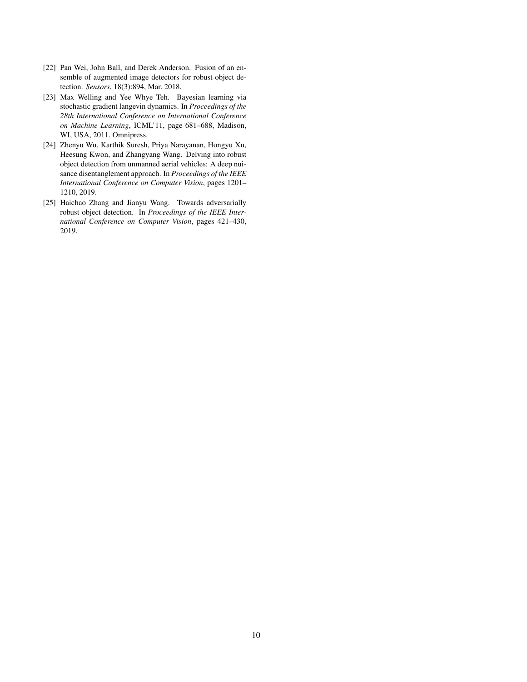- [22] Pan Wei, John Ball, and Derek Anderson. Fusion of an ensemble of augmented image detectors for robust object detection. *Sensors*, 18(3):894, Mar. 2018.
- [23] Max Welling and Yee Whye Teh. Bayesian learning via stochastic gradient langevin dynamics. In *Proceedings of the 28th International Conference on International Conference on Machine Learning*, ICML'11, page 681–688, Madison, WI, USA, 2011. Omnipress.
- [24] Zhenyu Wu, Karthik Suresh, Priya Narayanan, Hongyu Xu, Heesung Kwon, and Zhangyang Wang. Delving into robust object detection from unmanned aerial vehicles: A deep nuisance disentanglement approach. In *Proceedings of the IEEE International Conference on Computer Vision*, pages 1201– 1210, 2019.
- [25] Haichao Zhang and Jianyu Wang. Towards adversarially robust object detection. In *Proceedings of the IEEE International Conference on Computer Vision*, pages 421–430, 2019.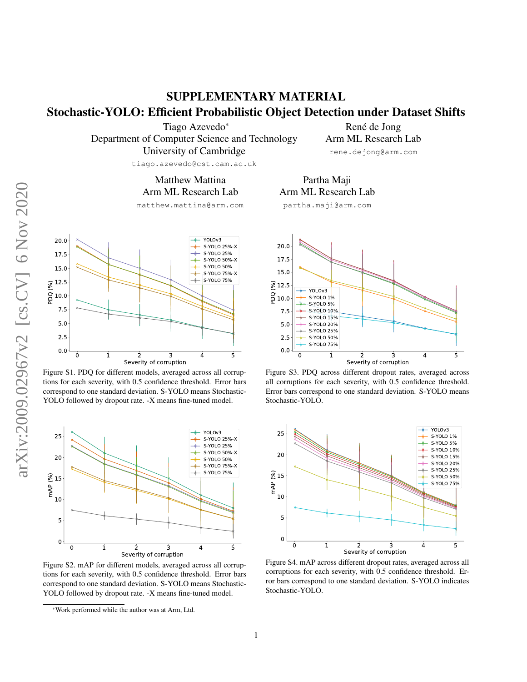# SUPPLEMENTARY MATERIAL Stochastic-YOLO: Efficient Probabilistic Object Detection under Dataset Shifts

Tiago Azevedo\*

Department of Computer Science and Technology

University of Cambridge

tiago.azevedo@cst.cam.ac.uk

Matthew Mattina Arm ML Research Lab

matthew.mattina@arm.com



Figure S1. PDQ for different models, averaged across all corruptions for each severity, with 0.5 confidence threshold. Error bars correspond to one standard deviation. S-YOLO means Stochastic-YOLO followed by dropout rate. -X means fine-tuned model.



Figure S2. mAP for different models, averaged across all corruptions for each severity, with 0.5 confidence threshold. Error bars correspond to one standard deviation. S-YOLO means Stochastic-YOLO followed by dropout rate. -X means fine-tuned model.

René de Jong Arm ML Research Lab rene.dejong@arm.com

Partha Maji Arm ML Research Lab

partha.maji@arm.com



Figure S3. PDQ across different dropout rates, averaged across all corruptions for each severity, with 0.5 confidence threshold. Error bars correspond to one standard deviation. S-YOLO means Stochastic-YOLO.



Figure S4. mAP across different dropout rates, averaged across all corruptions for each severity, with 0.5 confidence threshold. Error bars correspond to one standard deviation. S-YOLO indicates Stochastic-YOLO.

<sup>\*</sup>Work performed while the author was at Arm, Ltd.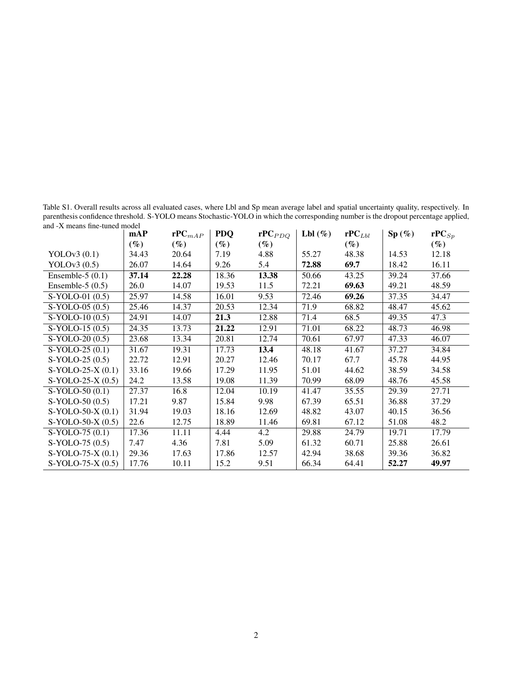Table S1. Overall results across all evaluated cases, where Lbl and Sp mean average label and spatial uncertainty quality, respectively. In parenthesis confidence threshold. S-YOLO means Stochastic-YOLO in which the corresponding number is the dropout percentage applied, and -X means fine-tuned model

|                    | mAP    | $rPC_{mAP}$ | <b>PDQ</b> | $rPC_{PDO}$ | Lbl $(\%)$ | $rPC_{Lbl}$ | Sp(%) | $rPC_{Sp}$ |
|--------------------|--------|-------------|------------|-------------|------------|-------------|-------|------------|
|                    | $(\%)$ | $(\%)$      | $(\%)$     | $(\%)$      |            | $(\%)$      |       | $(\%)$     |
| YOLOv $3(0.1)$     | 34.43  | 20.64       | 7.19       | 4.88        | 55.27      | 48.38       | 14.53 | 12.18      |
| YOLOv $3(0.5)$     | 26.07  | 14.64       | 9.26       | 5.4         | 72.88      | 69.7        | 18.42 | 16.11      |
| Ensemble-5 $(0.1)$ | 37.14  | 22.28       | 18.36      | 13.38       | 50.66      | 43.25       | 39.24 | 37.66      |
| Ensemble-5 $(0.5)$ | 26.0   | 14.07       | 19.53      | 11.5        | 72.21      | 69.63       | 49.21 | 48.59      |
| S-YOLO-01 (0.5)    | 25.97  | 14.58       | 16.01      | 9.53        | 72.46      | 69.26       | 37.35 | 34.47      |
| S-YOLO-05 (0.5)    | 25.46  | 14.37       | 20.53      | 12.34       | 71.9       | 68.82       | 48.47 | 45.62      |
| $S-YOLO-10(0.5)$   | 24.91  | 14.07       | 21.3       | 12.88       | 71.4       | 68.5        | 49.35 | 47.3       |
| S-YOLO-15 (0.5)    | 24.35  | 13.73       | 21.22      | 12.91       | 71.01      | 68.22       | 48.73 | 46.98      |
| S-YOLO-20 (0.5)    | 23.68  | 13.34       | 20.81      | 12.74       | 70.61      | 67.97       | 47.33 | 46.07      |
| S-YOLO-25 (0.1)    | 31.67  | 19.31       | 17.73      | 13.4        | 48.18      | 41.67       | 37.27 | 34.84      |
| S-YOLO-25 (0.5)    | 22.72  | 12.91       | 20.27      | 12.46       | 70.17      | 67.7        | 45.78 | 44.95      |
| $S-YOLO-25-X(0.1)$ | 33.16  | 19.66       | 17.29      | 11.95       | 51.01      | 44.62       | 38.59 | 34.58      |
| $S-YOLO-25-X(0.5)$ | 24.2   | 13.58       | 19.08      | 11.39       | 70.99      | 68.09       | 48.76 | 45.58      |
| $S-YOLO-50(0.1)$   | 27.37  | 16.8        | 12.04      | 10.19       | 41.47      | 35.55       | 29.39 | 27.71      |
| S-YOLO-50 (0.5)    | 17.21  | 9.87        | 15.84      | 9.98        | 67.39      | 65.51       | 36.88 | 37.29      |
| $S-YOLO-50-X(0.1)$ | 31.94  | 19.03       | 18.16      | 12.69       | 48.82      | 43.07       | 40.15 | 36.56      |
| $S-YOLO-50-X(0.5)$ | 22.6   | 12.75       | 18.89      | 11.46       | 69.81      | 67.12       | 51.08 | 48.2       |
| S-YOLO-75 (0.1)    | 17.36  | 11.11       | 4.44       | 4.2         | 29.88      | 24.79       | 19.71 | 17.79      |
| S-YOLO-75 (0.5)    | 7.47   | 4.36        | 7.81       | 5.09        | 61.32      | 60.71       | 25.88 | 26.61      |
| $S-YOLO-75-X(0.1)$ | 29.36  | 17.63       | 17.86      | 12.57       | 42.94      | 38.68       | 39.36 | 36.82      |
| $S-YOLO-75-X(0.5)$ | 17.76  | 10.11       | 15.2       | 9.51        | 66.34      | 64.41       | 52.27 | 49.97      |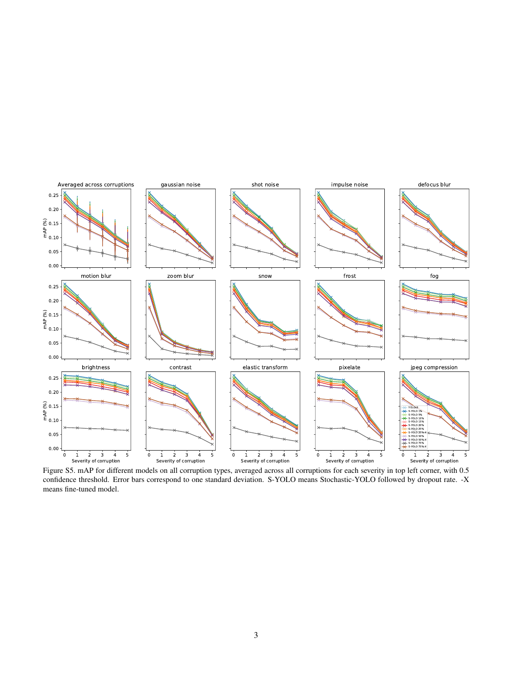

Figure S5. mAP for different models on all corruption types, averaged across all corruptions for each severity in top left corner, with 0.5 confidence threshold. Error bars correspond to one standard deviation. S-YOLO means Stochastic-YOLO followed by dropout rate. -X means fine-tuned model.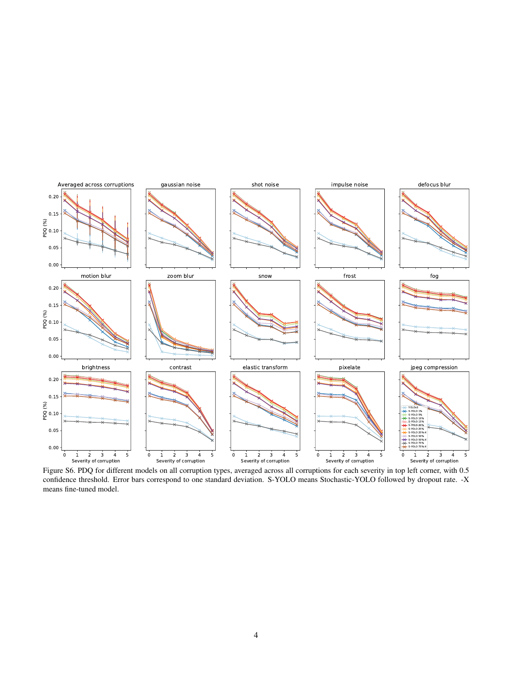

Figure S6. PDQ for different models on all corruption types, averaged across all corruptions for each severity in top left corner, with 0.5 confidence threshold. Error bars correspond to one standard deviation. S-YOLO means Stochastic-YOLO followed by dropout rate. -X means fine-tuned model.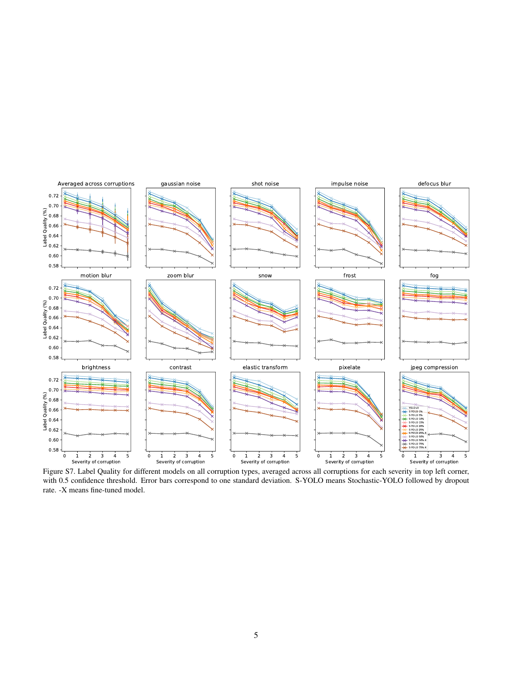

Figure S7. Label Quality for different models on all corruption types, averaged across all corruptions for each severity in top left corner, with 0.5 confidence threshold. Error bars correspond to one standard deviation. S-YOLO means Stochastic-YOLO followed by dropout rate. -X means fine-tuned model.